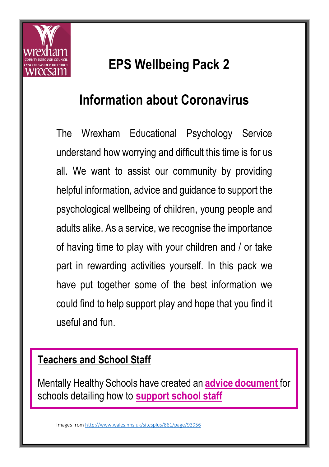

## **EPS Wellbeing Pack 2**

### **Information about Coronavirus**

The Wrexham Educational Psychology Service understand how worrying and difficult this time is for us all. We want to assist our community by providing helpful information, advice and guidance to support the psychological wellbeing of children, young people and adults alike. As a service, we recognise the importance of having time to play with your children and / or take part in rewarding activities yourself. In this pack we have put together some of the best information we could find to help support play and hope that you find it useful and fun.

#### **Teachers and School Staff**

Mentally Healthy Schools have created an **[advice document](https://www.mentallyhealthyschools.org.uk/media/1998/coronavirus-mental-health-and-wellbeing-toolkit-2.pdf)** for schools detailing how to **[support school staff](https://www.annafreud.org/media/7653/3rdanna-freud-booklet-staff-wellbeing-web-pdf-21-june.pdf)**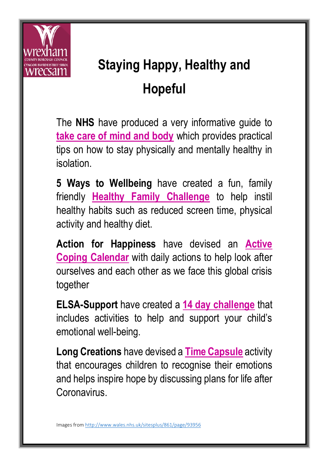

# **Staying Happy, Healthy and Hopeful**

The **NHS** have produced a very informative guide to **take [care of mind and body](https://www.nhs.uk/oneyou/every-mind-matters/coronavirus-covid-19-staying-at-home-tips/)** which provides practical tips on how to stay physically and mentally healthy in isolation.

**5 Ways to Wellbeing** have created a fun, family friendly **[Healthy Family Challenge](https://bcuhb.nhs.wales/health-information-advice/5-ways-to-wellbeing/downloadable-resources/5-ways-resources/healthy-family-challenge-phw-bilingual-download-pdf/)** to help instil healthy habits such as reduced screen time, physical activity and healthy diet.

**Action for Happiness** have devised an **[Active](https://www.actionforhappiness.org/media/865777/april_2020.pdf)  [Coping Calendar](https://www.actionforhappiness.org/media/865777/april_2020.pdf)** with daily actions to help look after ourselves and each other as we face this global crisis together

**ELSA-Support** have created a **[14 day challenge](https://www.elsa-support.co.uk/wp-content/uploads/2020/03/Coronavirus-home-challenge.pdf)** that includes activities to help and support your child's emotional well-being.

**Long Creations** have devised a **[Time Capsule](https://drive.google.com/file/d/1MaM2RBrqyDeyKFCG8impDgfuZ8a2tIZ-/view?fbclid=IwAR06aH4N3v3SDHKPA4EsfVah9-TypkyTbDfG8PSe67Eutgv5JDaXeSvHZw8)** activity that encourages children to recognise their emotions and helps inspire hope by discussing plans for life after Coronavirus.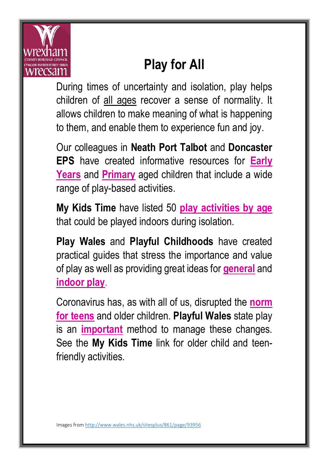

## **Play for All**

During times of uncertainty and isolation, play helps children of all ages recover a sense of normality. It allows children to make meaning of what is happening to them, and enable them to experience fun and joy.

Our colleagues in **Neath Port Talbot** and **Doncaster EPS** have created informative resources for **[Early](https://drive.google.com/file/d/1Fg7SEAzB8ntiLjCzEdLeRpZuQHRwTje5/view?usp=sharing)  [Years](https://drive.google.com/file/d/1Fg7SEAzB8ntiLjCzEdLeRpZuQHRwTje5/view?usp=sharing)** and **[Primary](https://drive.google.com/file/d/1yJ04LMHJBKRqLaK1RT20rlF9lnD5Ng65/view?usp=sharing)** aged children that include a wide range of play-based activities.

**My Kids Time** have listed 50 **[play activities by age](https://www.mykidstime.com/things-to-do/50-simple-rainy-day-activities-for-kids-by-age/)** that could be played indoors during isolation.

**Play Wales** and **Playful Childhoods** have created practical guides that stress the importance and value of play as well as providing great ideas for **[general](https://www.playwales.org.uk/login/uploaded/documents/play%20areas/Playing%20actively%20in%20and%20around%20the%20home.pdf)** and **[indoor play](https://www.playfulchildhoods.wales/Handlers/Download.ashx?IDMF=235868bc-37c8-427c-b2b2-e8a5a8c6b40b)**.

Coronavirus has, as with all of us, disrupted the **[norm](http://www.jkp.com/jkpblog/2020/04/how-has-corona-virus-changed-a-teens-world/)  [for teens](http://www.jkp.com/jkpblog/2020/04/how-has-corona-virus-changed-a-teens-world/)** and older children. **Playful Wales** state play is an **[important](https://www.playwales.org.uk/login/uploaded/documents/INFORMATION%20SHEETS/Older%20children%20play%20too.pdf)** method to manage these changes. See the **My Kids Time** link for older child and teenfriendly activities.